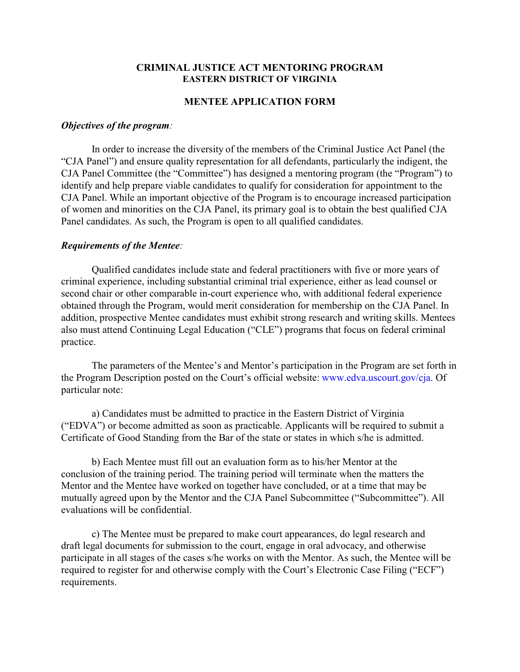## **CRIMINAL JUSTICE ACT MENTORING PROGRAM EASTERN DISTRICT OF VIRGINIA**

## **MENTEE APPLICATION FORM**

## *Objectives of the program:*

In order to increase the diversity of the members of the Criminal Justice Act Panel (the "CJA Panel") and ensure quality representation for all defendants, particularly the indigent, the CJA Panel Committee (the "Committee") has designed a mentoring program (the "Program") to identify and help prepare viable candidates to qualify for consideration for appointment to the CJA Panel. While an important objective of the Program is to encourage increased participation of women and minorities on the CJA Panel, its primary goal is to obtain the best qualified CJA Panel candidates. As such, the Program is open to all qualified candidates.

## *Requirements of the Mentee:*

Qualified candidates include state and federal practitioners with five or more years of criminal experience, including substantial criminal trial experience, either as lead counsel or second chair or other comparable in-court experience who, with additional federal experience obtained through the Program, would merit consideration for membership on the CJA Panel. In addition, prospective Mentee candidates must exhibit strong research and writing skills. Mentees also must attend Continuing Legal Education ("CLE") programs that focus on federal criminal practice.

The parameters of the Mentee's and Mentor's participation in the Program are set forth in the Program Description posted on the Court's official website: www.edva.uscourt.gov/cja. Of particular note:

a) Candidates must be admitted to practice in the Eastern District of Virginia ("EDVA") or become admitted as soon as practicable. Applicants will be required to submit a Certificate of Good Standing from the Bar of the state or states in which s/he is admitted.

b) Each Mentee must fill out an evaluation form as to his/her Mentor at the conclusion of the training period. The training period will terminate when the matters the Mentor and the Mentee have worked on together have concluded, or at a time that may be mutually agreed upon by the Mentor and the CJA Panel Subcommittee ("Subcommittee"). All evaluations will be confidential.

c) The Mentee must be prepared to make court appearances, do legal research and draft legal documents for submission to the court, engage in oral advocacy, and otherwise participate in all stages of the cases s/he works on with the Mentor. As such, the Mentee will be required to register for and otherwise comply with the Court's Electronic Case Filing ("ECF") requirements.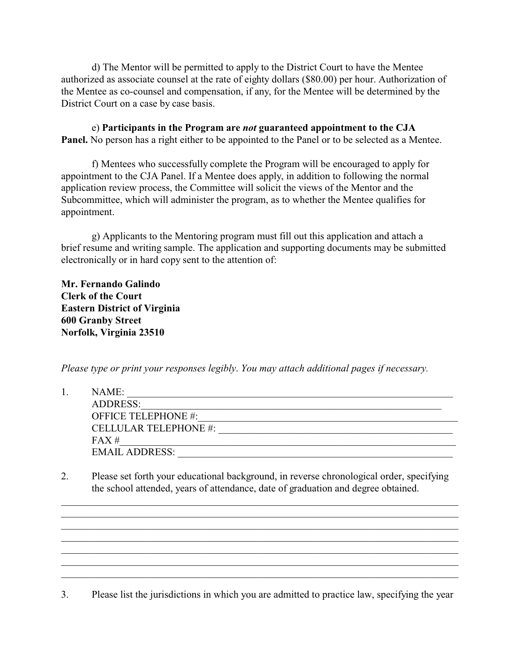d) The Mentor will be permitted to apply to the District Court to have the Mentee authorized as associate counsel at the rate of eighty dollars (\$80.00) per hour. Authorization of the Mentee as co-counsel and compensation, if any, for the Mentee will be determined by the District Court on a case by case basis.

e) **Participants in the Program are** *not* **guaranteed appointment to the CJA Panel.** No person has a right either to be appointed to the Panel or to be selected as a Mentee.

f) Mentees who successfully complete the Program will be encouraged to apply for appointment to the CJA Panel. If a Mentee does apply, in addition to following the normal application review process, the Committee will solicit the views of the Mentor and the Subcommittee, which will administer the program, as to whether the Mentee qualifies for appointment.

g) Applicants to the Mentoring program must fill out this application and attach a brief resume and writing sample. The application and supporting documents may be submitted electronically or in hard copy sent to the attention of:

**Mr. Fernando Galindo Clerk of the Court Eastern District of Virginia 600 Granby Street Norfolk, Virginia 23510**

*Please type or print your responses legibly*. *You may attach additional pages if necessary.*

| NAME:                        |
|------------------------------|
| <b>ADDRESS:</b>              |
| <b>OFFICE TELEPHONE #:</b>   |
| <b>CELLULAR TELEPHONE #:</b> |
| FAX#                         |
| <b>EMAIL ADDRESS:</b>        |

2. Please set forth your educational background, in reverse chronological order, specifying the school attended, years of attendance, date of graduation and degree obtained.

\_\_\_\_\_\_\_\_\_\_\_\_\_\_\_\_\_\_\_\_\_\_\_\_\_\_\_\_\_\_\_\_\_\_\_\_\_\_\_\_\_\_\_\_\_\_\_\_\_\_\_\_\_\_\_\_\_\_\_\_\_\_\_\_\_\_\_\_\_\_\_\_\_\_\_\_\_\_ \_\_\_\_\_\_\_\_\_\_\_\_\_\_\_\_\_\_\_\_\_\_\_\_\_\_\_\_\_\_\_\_\_\_\_\_\_\_\_\_\_\_\_\_\_\_\_\_\_\_\_\_\_\_\_\_\_\_\_\_\_\_\_\_\_\_\_\_\_\_\_\_\_\_\_\_\_\_ \_\_\_\_\_\_\_\_\_\_\_\_\_\_\_\_\_\_\_\_\_\_\_\_\_\_\_\_\_\_\_\_\_\_\_\_\_\_\_\_\_\_\_\_\_\_\_\_\_\_\_\_\_\_\_\_\_\_\_\_\_\_\_\_\_\_\_\_\_\_\_\_\_\_\_\_\_\_ \_\_\_\_\_\_\_\_\_\_\_\_\_\_\_\_\_\_\_\_\_\_\_\_\_\_\_\_\_\_\_\_\_\_\_\_\_\_\_\_\_\_\_\_\_\_\_\_\_\_\_\_\_\_\_\_\_\_\_\_\_\_\_\_\_\_\_\_\_\_\_\_\_\_\_\_\_\_ \_\_\_\_\_\_\_\_\_\_\_\_\_\_\_\_\_\_\_\_\_\_\_\_\_\_\_\_\_\_\_\_\_\_\_\_\_\_\_\_\_\_\_\_\_\_\_\_\_\_\_\_\_\_\_\_\_\_\_\_\_\_\_\_\_\_\_\_\_\_\_\_\_\_\_\_\_\_ \_\_\_\_\_\_\_\_\_\_\_\_\_\_\_\_\_\_\_\_\_\_\_\_\_\_\_\_\_\_\_\_\_\_\_\_\_\_\_\_\_\_\_\_\_\_\_\_\_\_\_\_\_\_\_\_\_\_\_\_\_\_\_\_\_\_\_\_\_\_\_\_\_\_\_\_\_\_

3. Please list the jurisdictions in which you are admitted to practice law, specifying the year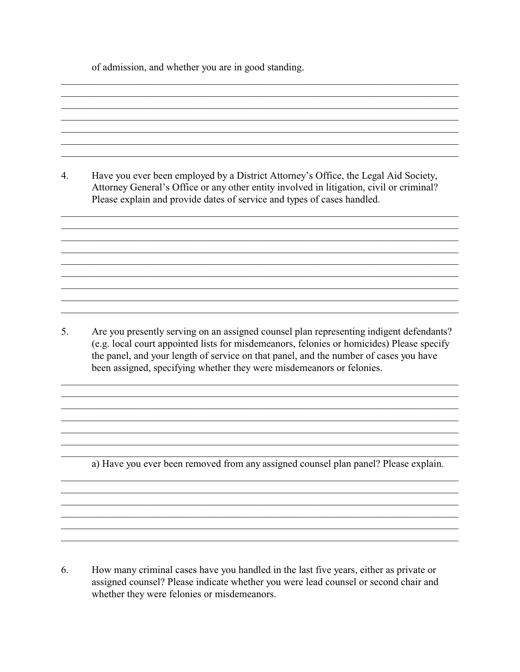of admission, and whether you are in good standing.

 $4.$ Have you ever been employed by a District Attorney's Office, the Legal Aid Society, Attorney General's Office or any other entity involved in litigation, civil or criminal? Please explain and provide dates of service and types of cases handled.  $5<sub>1</sub>$ Are you presently serving on an assigned counsel plan representing indigent defendants? (e.g. local court appointed lists for misdemeanors, felonies or homicides) Please specify the panel, and your length of service on that panel, and the number of cases you have been assigned, specifying whether they were misdemeanors or felonies. a) Have you ever been removed from any assigned counsel plan panel? Please explain.

6. How many criminal cases have you handled in the last five years, either as private or assigned counsel? Please indicate whether you were lead counsel or second chair and whether they were felonies or misdemeanors.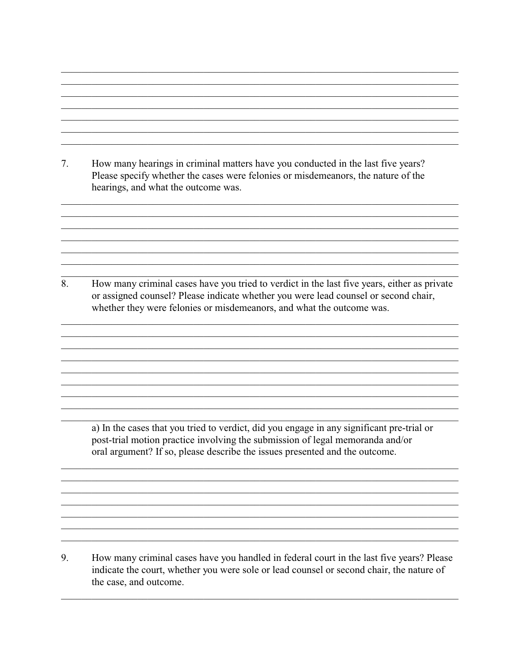7. How many hearings in criminal matters have you conducted in the last five years? Please specify whether the cases were felonies or misdemeanors, the nature of the hearings, and what the outcome was.

8. How many criminal cases have you tried to verdict in the last five years, either as private or assigned counsel? Please indicate whether you were lead counsel or second chair, whether they were felonies or misdemeanors, and what the outcome was.

a) In the cases that you tried to verdict, did you engage in any significant pre-trial or post-trial motion practice involving the submission of legal memoranda and/or oral argument? If so, please describe the issues presented and the outcome.

9. How many criminal cases have you handled in federal court in the last five years? Please indicate the court, whether you were sole or lead counsel or second chair, the nature of the case, and outcome.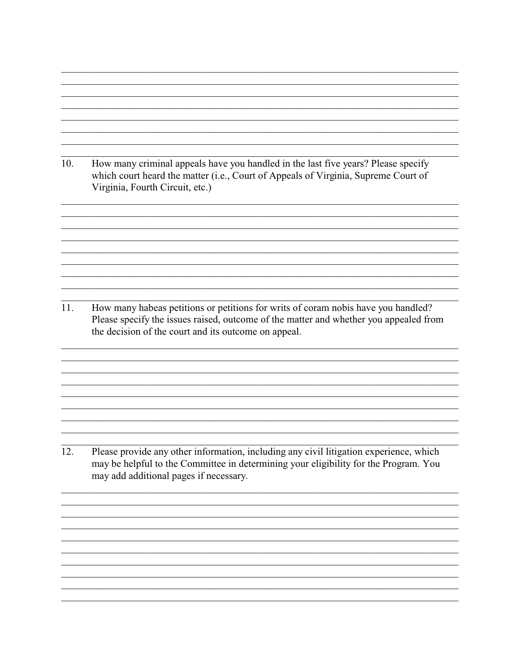10. How many criminal appeals have you handled in the last five years? Please specify which court heard the matter (i.e., Court of Appeals of Virginia, Supreme Court of Virginia, Fourth Circuit, etc.)

11. How many habeas petitions or petitions for writs of coram nobis have you handled? Please specify the issues raised, outcome of the matter and whether you appealed from the decision of the court and its outcome on appeal.

12. Please provide any other information, including any civil litigation experience, which may be helpful to the Committee in determining your eligibility for the Program. You may add additional pages if necessary.